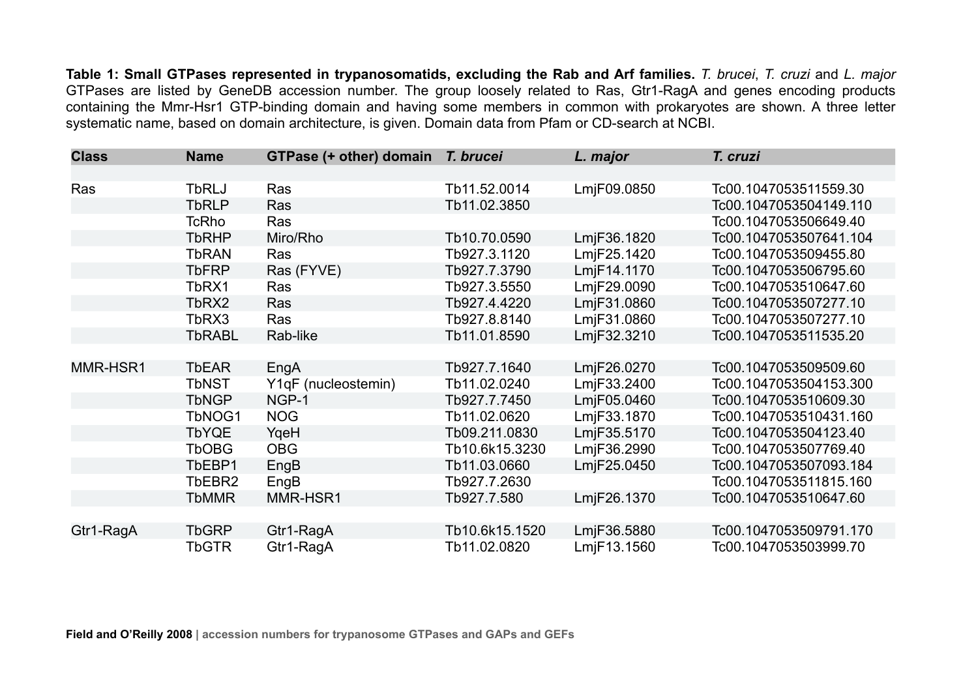**Table 1: Small GTPases represented in trypanosomatids, excluding the Rab and Arf families.** *T. brucei*, *T. cruzi* and *L. major* GTPases are listed by GeneDB accession number. The group loosely related to Ras, Gtr1-RagA and genes encoding products containing the Mmr-Hsr1 GTP-binding domain and having some members in common with prokaryotes are shown. A three letter systematic name, based on domain architecture, is given. Domain data from Pfam or CD-search at NCBI.

| <b>Class</b> | <b>Name</b>   | GTPase (+ other) domain T. brucei |                | L. major    | T. cruzi               |
|--------------|---------------|-----------------------------------|----------------|-------------|------------------------|
|              |               |                                   |                |             |                        |
| Ras          | <b>TbRLJ</b>  | Ras                               | Tb11.52.0014   | LmjF09.0850 | Tc00.1047053511559.30  |
|              | <b>TbRLP</b>  | Ras                               | Tb11.02.3850   |             | Tc00.1047053504149.110 |
|              | <b>TcRho</b>  | Ras                               |                |             | Tc00.1047053506649.40  |
|              | <b>TbRHP</b>  | Miro/Rho                          | Tb10.70.0590   | LmjF36.1820 | Tc00.1047053507641.104 |
|              | <b>TbRAN</b>  | Ras                               | Tb927.3.1120   | LmjF25.1420 | Tc00.1047053509455.80  |
|              | <b>TbFRP</b>  | Ras (FYVE)                        | Tb927.7.3790   | LmjF14.1170 | Tc00.1047053506795.60  |
|              | TbRX1         | Ras                               | Tb927.3.5550   | LmjF29.0090 | Tc00.1047053510647.60  |
|              | TbRX2         | Ras                               | Tb927.4.4220   | LmjF31.0860 | Tc00.1047053507277.10  |
|              | TbRX3         | Ras                               | Tb927.8.8140   | LmjF31.0860 | Tc00.1047053507277.10  |
|              | <b>TbRABL</b> | Rab-like                          | Tb11.01.8590   | LmjF32.3210 | Tc00.1047053511535.20  |
|              |               |                                   |                |             |                        |
| MMR-HSR1     | <b>TbEAR</b>  | EngA                              | Tb927.7.1640   | LmjF26.0270 | Tc00.1047053509509.60  |
|              | <b>TbNST</b>  | Y1qF (nucleostemin)               | Tb11.02.0240   | LmjF33.2400 | Tc00.1047053504153.300 |
|              | <b>TbNGP</b>  | NGP-1                             | Tb927.7.7450   | LmjF05.0460 | Tc00.1047053510609.30  |
|              | TbNOG1        | <b>NOG</b>                        | Tb11.02.0620   | LmjF33.1870 | Tc00.1047053510431.160 |
|              | <b>TbYQE</b>  | YgeH                              | Tb09.211.0830  | LmjF35.5170 | Tc00.1047053504123.40  |
|              | <b>TbOBG</b>  | <b>OBG</b>                        | Tb10.6k15.3230 | LmjF36.2990 | Tc00.1047053507769.40  |
|              | TbEBP1        | EngB                              | Tb11.03.0660   | LmjF25.0450 | Tc00.1047053507093.184 |
|              | TbEBR2        | EngB                              | Tb927.7.2630   |             | Tc00.1047053511815.160 |
|              | <b>TbMMR</b>  | MMR-HSR1                          | Tb927.7.580    | LmjF26.1370 | Tc00.1047053510647.60  |
|              |               |                                   |                |             |                        |
| Gtr1-RagA    | <b>TbGRP</b>  | Gtr1-RagA                         | Tb10.6k15.1520 | LmjF36.5880 | Tc00.1047053509791.170 |
|              | <b>TbGTR</b>  | Gtr1-RagA                         | Tb11.02.0820   | LmjF13.1560 | Tc00.1047053503999.70  |